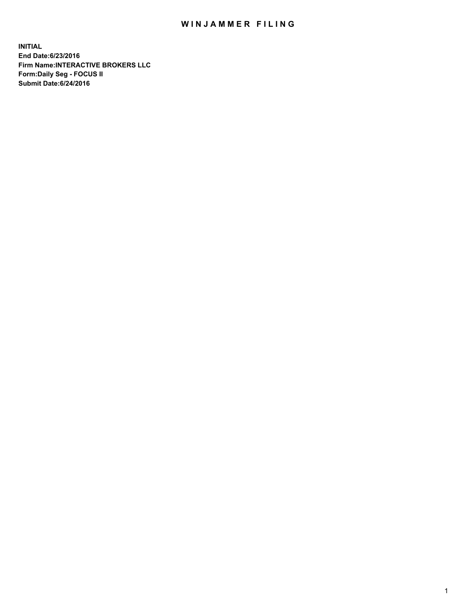## WIN JAMMER FILING

**INITIAL End Date:6/23/2016 Firm Name:INTERACTIVE BROKERS LLC Form:Daily Seg - FOCUS II Submit Date:6/24/2016**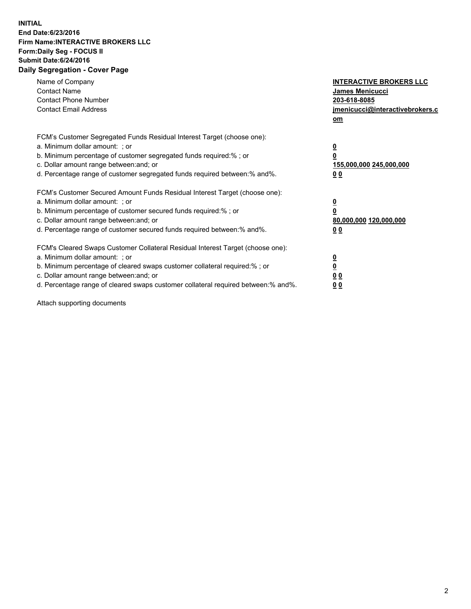## **INITIAL End Date:6/23/2016 Firm Name:INTERACTIVE BROKERS LLC Form:Daily Seg - FOCUS II Submit Date:6/24/2016 Daily Segregation - Cover Page**

| Name of Company<br><b>Contact Name</b><br><b>Contact Phone Number</b><br><b>Contact Email Address</b>                                                                                                                                                                                                                          | <b>INTERACTIVE BROKERS LLC</b><br>James Menicucci<br>203-618-8085<br>jmenicucci@interactivebrokers.c<br>om |
|--------------------------------------------------------------------------------------------------------------------------------------------------------------------------------------------------------------------------------------------------------------------------------------------------------------------------------|------------------------------------------------------------------------------------------------------------|
| FCM's Customer Segregated Funds Residual Interest Target (choose one):<br>a. Minimum dollar amount: ; or<br>b. Minimum percentage of customer segregated funds required:%; or<br>c. Dollar amount range between: and; or<br>d. Percentage range of customer segregated funds required between:% and%.                          | $\overline{\mathbf{0}}$<br>0<br>155,000,000 245,000,000<br>0 <sub>0</sub>                                  |
| FCM's Customer Secured Amount Funds Residual Interest Target (choose one):<br>a. Minimum dollar amount: ; or<br>b. Minimum percentage of customer secured funds required:%; or<br>c. Dollar amount range between: and; or<br>d. Percentage range of customer secured funds required between:% and%.                            | $\overline{\mathbf{0}}$<br>$\overline{\mathbf{0}}$<br>80,000,000 120,000,000<br>00                         |
| FCM's Cleared Swaps Customer Collateral Residual Interest Target (choose one):<br>a. Minimum dollar amount: ; or<br>b. Minimum percentage of cleared swaps customer collateral required:% ; or<br>c. Dollar amount range between: and; or<br>d. Percentage range of cleared swaps customer collateral required between:% and%. | $\overline{\mathbf{0}}$<br>$\overline{\mathbf{0}}$<br>0 <sub>0</sub><br><u>00</u>                          |

Attach supporting documents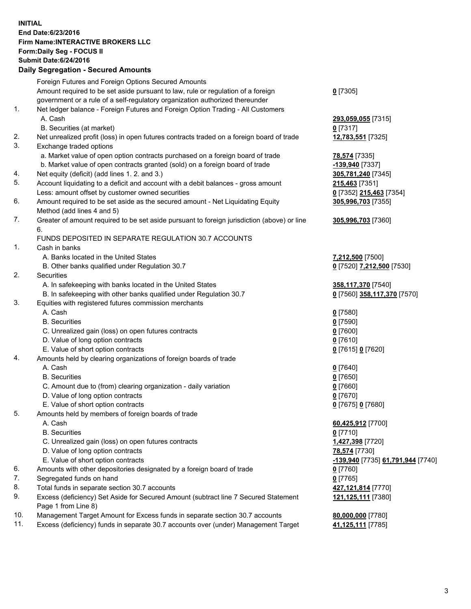## **INITIAL End Date:6/23/2016 Firm Name:INTERACTIVE BROKERS LLC Form:Daily Seg - FOCUS II Submit Date:6/24/2016 Daily Segregation - Secured Amounts**

|     | Daily Ocglegation - Occarea Anioants                                                                       |                                   |
|-----|------------------------------------------------------------------------------------------------------------|-----------------------------------|
|     | Foreign Futures and Foreign Options Secured Amounts                                                        |                                   |
|     | Amount required to be set aside pursuant to law, rule or regulation of a foreign                           | $0$ [7305]                        |
|     | government or a rule of a self-regulatory organization authorized thereunder                               |                                   |
| 1.  | Net ledger balance - Foreign Futures and Foreign Option Trading - All Customers                            |                                   |
|     | A. Cash                                                                                                    | 293,059,055 [7315]                |
|     | B. Securities (at market)                                                                                  | $0$ [7317]                        |
| 2.  | Net unrealized profit (loss) in open futures contracts traded on a foreign board of trade                  | 12,783,551 [7325]                 |
| 3.  | Exchange traded options                                                                                    |                                   |
|     | a. Market value of open option contracts purchased on a foreign board of trade                             | <b>78,574</b> [7335]              |
|     | b. Market value of open contracts granted (sold) on a foreign board of trade                               | -139,940 [7337]                   |
| 4.  | Net equity (deficit) (add lines 1.2. and 3.)                                                               | 305,781,240 [7345]                |
| 5.  | Account liquidating to a deficit and account with a debit balances - gross amount                          | 215,463 [7351]                    |
|     | Less: amount offset by customer owned securities                                                           | 0 [7352] 215,463 [7354]           |
| 6.  | Amount required to be set aside as the secured amount - Net Liquidating Equity                             | 305,996,703 [7355]                |
|     | Method (add lines 4 and 5)                                                                                 |                                   |
| 7.  | Greater of amount required to be set aside pursuant to foreign jurisdiction (above) or line                | 305,996,703 [7360]                |
|     | 6.                                                                                                         |                                   |
|     | FUNDS DEPOSITED IN SEPARATE REGULATION 30.7 ACCOUNTS                                                       |                                   |
| 1.  | Cash in banks                                                                                              |                                   |
|     | A. Banks located in the United States                                                                      | 7,212,500 [7500]                  |
|     | B. Other banks qualified under Regulation 30.7                                                             | 0 [7520] 7,212,500 [7530]         |
| 2.  | Securities                                                                                                 |                                   |
|     | A. In safekeeping with banks located in the United States                                                  | 358,117,370 [7540]                |
|     | B. In safekeeping with other banks qualified under Regulation 30.7                                         | 0 [7560] 358,117,370 [7570]       |
| 3.  | Equities with registered futures commission merchants                                                      |                                   |
|     | A. Cash                                                                                                    | $0$ [7580]                        |
|     | <b>B.</b> Securities                                                                                       | $0$ [7590]                        |
|     | C. Unrealized gain (loss) on open futures contracts                                                        | $0$ [7600]                        |
|     | D. Value of long option contracts                                                                          | $0$ [7610]                        |
|     | E. Value of short option contracts                                                                         | 0 [7615] 0 [7620]                 |
| 4.  | Amounts held by clearing organizations of foreign boards of trade                                          |                                   |
|     | A. Cash                                                                                                    | $0$ [7640]                        |
|     | <b>B.</b> Securities                                                                                       | $0$ [7650]                        |
|     | C. Amount due to (from) clearing organization - daily variation                                            | $0$ [7660]                        |
|     | D. Value of long option contracts                                                                          | $0$ [7670]                        |
|     | E. Value of short option contracts                                                                         | 0 [7675] 0 [7680]                 |
| 5.  | Amounts held by members of foreign boards of trade                                                         |                                   |
|     | A. Cash                                                                                                    | 60,425,912 [7700]                 |
|     | <b>B.</b> Securities                                                                                       | $0$ [7710]                        |
|     | C. Unrealized gain (loss) on open futures contracts                                                        | 1,427,398 [7720]                  |
|     | D. Value of long option contracts                                                                          | 78,574 [7730]                     |
|     | E. Value of short option contracts                                                                         | -139,940 [7735] 61,791,944 [7740] |
| 6.  | Amounts with other depositories designated by a foreign board of trade                                     | $0$ [7760]                        |
| 7.  | Segregated funds on hand                                                                                   | $0$ [7765]                        |
| 8.  | Total funds in separate section 30.7 accounts                                                              | 427,121,814 [7770]                |
| 9.  | Excess (deficiency) Set Aside for Secured Amount (subtract line 7 Secured Statement<br>Page 1 from Line 8) | 121,125,111 [7380]                |
| 10. | Management Target Amount for Excess funds in separate section 30.7 accounts                                | 80,000,000 [7780]                 |
| 11. | Excess (deficiency) funds in separate 30.7 accounts over (under) Management Target                         | 41,125,111 [7785]                 |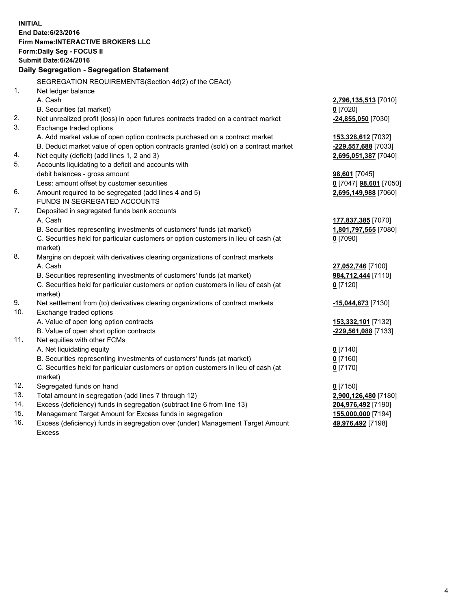**INITIAL End Date:6/23/2016 Firm Name:INTERACTIVE BROKERS LLC Form:Daily Seg - FOCUS II Submit Date:6/24/2016 Daily Segregation - Segregation Statement** SEGREGATION REQUIREMENTS(Section 4d(2) of the CEAct) 1. Net ledger balance A. Cash **2,796,135,513** [7010] B. Securities (at market) **0** [7020] 2. Net unrealized profit (loss) in open futures contracts traded on a contract market **-24,855,050** [7030] 3. Exchange traded options A. Add market value of open option contracts purchased on a contract market **153,328,612** [7032] B. Deduct market value of open option contracts granted (sold) on a contract market **-229,557,688** [7033] 4. Net equity (deficit) (add lines 1, 2 and 3) **2,695,051,387** [7040] 5. Accounts liquidating to a deficit and accounts with debit balances - gross amount **98,601** [7045] Less: amount offset by customer securities **0** [7047] **98,601** [7050] 6. Amount required to be segregated (add lines 4 and 5) **2,695,149,988** [7060] FUNDS IN SEGREGATED ACCOUNTS 7. Deposited in segregated funds bank accounts A. Cash **177,837,385** [7070] B. Securities representing investments of customers' funds (at market) **1,801,797,565** [7080] C. Securities held for particular customers or option customers in lieu of cash (at market) **0** [7090] 8. Margins on deposit with derivatives clearing organizations of contract markets A. Cash **27,052,746** [7100] B. Securities representing investments of customers' funds (at market) **984,712,444** [7110] C. Securities held for particular customers or option customers in lieu of cash (at market) **0** [7120] 9. Net settlement from (to) derivatives clearing organizations of contract markets **-15,044,673** [7130] 10. Exchange traded options A. Value of open long option contracts **153,332,101** [7132] B. Value of open short option contracts **-229,561,088** [7133] 11. Net equities with other FCMs A. Net liquidating equity **0** [7140] B. Securities representing investments of customers' funds (at market) **0** [7160] C. Securities held for particular customers or option customers in lieu of cash (at market) **0** [7170] 12. Segregated funds on hand **0** [7150] 13. Total amount in segregation (add lines 7 through 12) **2,900,126,480** [7180] 14. Excess (deficiency) funds in segregation (subtract line 6 from line 13) **204,976,492** [7190] 15. Management Target Amount for Excess funds in segregation **155,000,000** [7194] 16. Excess (deficiency) funds in segregation over (under) Management Target Amount **49,976,492** [7198]

Excess